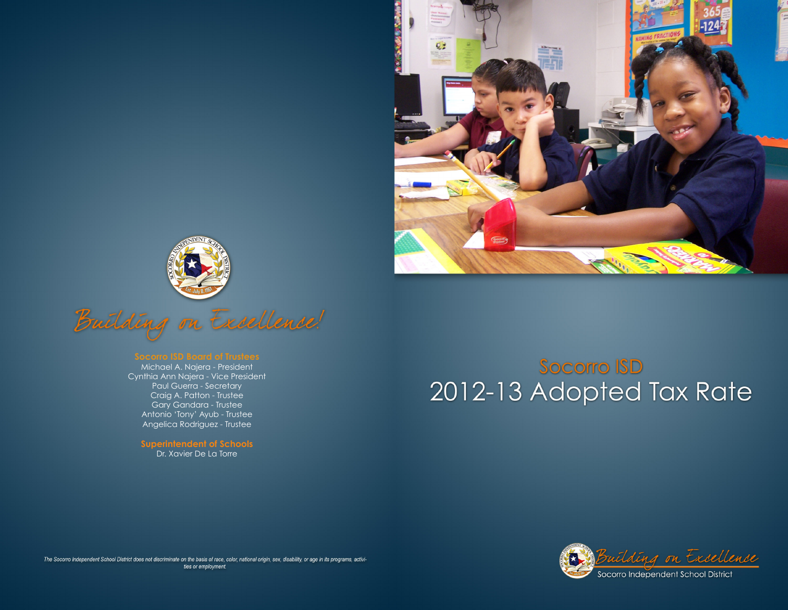





Michael A. Najera - President Cynthia Ann Najera - Vice President Paul Guerra - Secretary Craig A. Patton - Trustee Gary Gandara - Trustee Antonio 'Tony' Ayub - Trustee Angelica Rodriguez - Trustee

**Superintendent of Schools** Dr. Xavier De La Torre

# **Socorro ISD** 2012-13 Adopted Tax Rate



The Socorro Independent School District does not discriminate on the basis of race, color, national origin, sex, disability, or age in its programs, activities or employment.